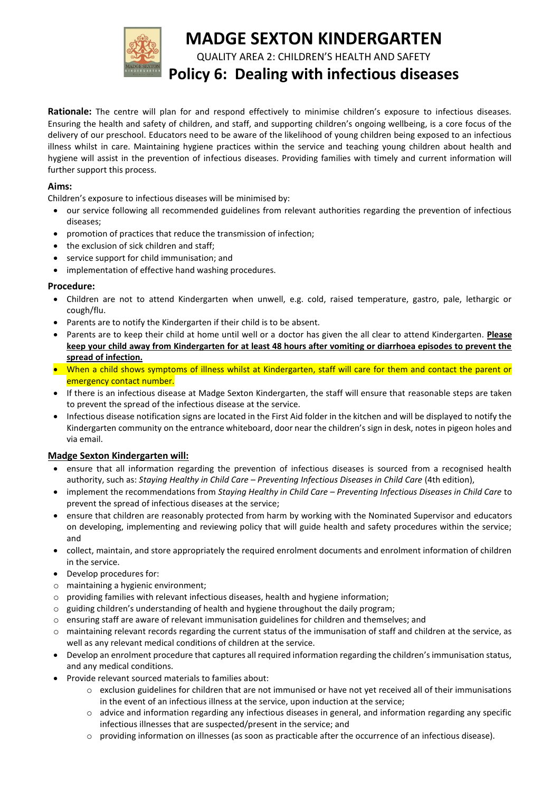

# **MADGE SEXTON KINDERGARTEN**

QUALITY AREA 2: CHILDREN'S HEALTH AND SAFETY

# **Policy 6: Dealing with infectious diseases**

**Rationale:** The centre will plan for and respond effectively to minimise children's exposure to infectious diseases. Ensuring the health and safety of children, and staff, and supporting children's ongoing wellbeing, is a core focus of the delivery of our preschool. Educators need to be aware of the likelihood of young children being exposed to an infectious illness whilst in care. Maintaining hygiene practices within the service and teaching young children about health and hygiene will assist in the prevention of infectious diseases. Providing families with timely and current information will further support this process.

#### **Aims:**

Children's exposure to infectious diseases will be minimised by:

- our service following all recommended guidelines from relevant authorities regarding the prevention of infectious diseases;
- promotion of practices that reduce the transmission of infection;
- the exclusion of sick children and staff;
- service support for child immunisation; and
- implementation of effective hand washing procedures.

## **Procedure:**

- Children are not to attend Kindergarten when unwell, e.g. cold, raised temperature, gastro, pale, lethargic or cough/flu.
- Parents are to notify the Kindergarten if their child is to be absent.
- Parents are to keep their child at home until well or a doctor has given the all clear to attend Kindergarten. **Please keep your child away from Kindergarten for at least 48 hours after vomiting or diarrhoea episodes to prevent the spread of infection.**
- When a child shows symptoms of illness whilst at Kindergarten, staff will care for them and contact the parent or emergency contact number.
- If there is an infectious disease at Madge Sexton Kindergarten, the staff will ensure that reasonable steps are taken to prevent the spread of the infectious disease at the service.
- Infectious disease notification signs are located in the First Aid folder in the kitchen and will be displayed to notify the Kindergarten community on the entrance whiteboard, door near the children's sign in desk, notes in pigeon holes and via email.

## **Madge Sexton Kindergarten will:**

- ensure that all information regarding the prevention of infectious diseases is sourced from a recognised health authority, such as: *Staying Healthy in Child Care – Preventing Infectious Diseases in Child Care* (4th edition),
- implement the recommendations from *Staying Healthy in Child Care – Preventing Infectious Diseases in Child Care* to prevent the spread of infectious diseases at the service;
- ensure that children are reasonably protected from harm by working with the Nominated Supervisor and educators on developing, implementing and reviewing policy that will guide health and safety procedures within the service; and
- collect, maintain, and store appropriately the required enrolment documents and enrolment information of children in the service.
- Develop procedures for:
- o maintaining a hygienic environment;
- o providing families with relevant infectious diseases, health and hygiene information;
- $\circ$  guiding children's understanding of health and hygiene throughout the daily program;
- $\circ$  ensuring staff are aware of relevant immunisation guidelines for children and themselves; and
- o maintaining relevant records regarding the current status of the immunisation of staff and children at the service, as well as any relevant medical conditions of children at the service.
- Develop an enrolment procedure that captures all required information regarding the children's immunisation status, and any medical conditions.
- Provide relevant sourced materials to families about:
	- $\circ$  exclusion guidelines for children that are not immunised or have not yet received all of their immunisations in the event of an infectious illness at the service, upon induction at the service;
	- o advice and information regarding any infectious diseases in general, and information regarding any specific infectious illnesses that are suspected/present in the service; and
	- o providing information on illnesses (as soon as practicable after the occurrence of an infectious disease).